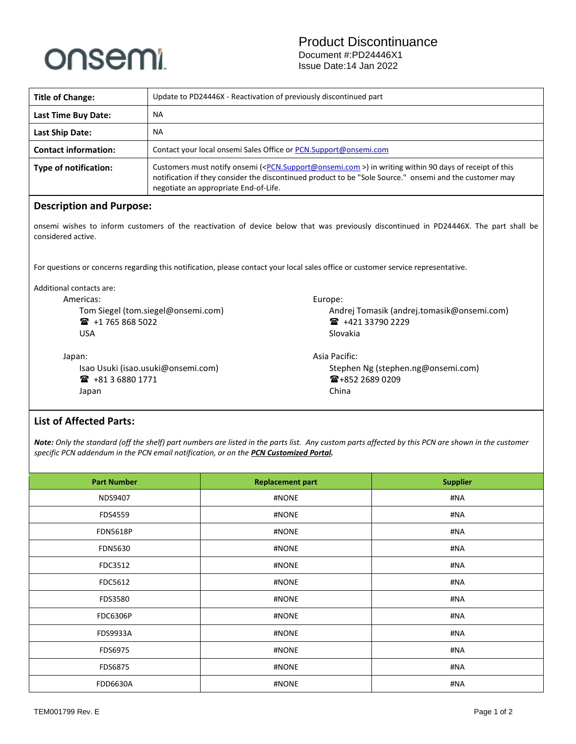

| <b>Title of Change:</b>                                                                                                                                     | Update to PD24446X - Reactivation of previously discontinued part                                                                                                                                                                                                                    |                                            |  |  |  |
|-------------------------------------------------------------------------------------------------------------------------------------------------------------|--------------------------------------------------------------------------------------------------------------------------------------------------------------------------------------------------------------------------------------------------------------------------------------|--------------------------------------------|--|--|--|
| <b>Last Time Buy Date:</b>                                                                                                                                  | <b>NA</b>                                                                                                                                                                                                                                                                            |                                            |  |  |  |
| <b>Last Ship Date:</b>                                                                                                                                      | <b>NA</b>                                                                                                                                                                                                                                                                            |                                            |  |  |  |
| <b>Contact information:</b>                                                                                                                                 | Contact your local onsemi Sales Office or PCN.Support@onsemi.com                                                                                                                                                                                                                     |                                            |  |  |  |
| <b>Type of notification:</b>                                                                                                                                | Customers must notify onsemi ( <pcn.support@onsemi.com>) in writing within 90 days of receipt of this<br/>notification if they consider the discontinued product to be "Sole Source." onsemi and the customer may<br/>negotiate an appropriate End-of-Life.</pcn.support@onsemi.com> |                                            |  |  |  |
| <b>Description and Purpose:</b>                                                                                                                             |                                                                                                                                                                                                                                                                                      |                                            |  |  |  |
| onsemi wishes to inform customers of the reactivation of device below that was previously discontinued in PD24446X. The part shall be<br>considered active. |                                                                                                                                                                                                                                                                                      |                                            |  |  |  |
| For questions or concerns regarding this notification, please contact your local sales office or customer service representative.                           |                                                                                                                                                                                                                                                                                      |                                            |  |  |  |
| Additional contacts are:                                                                                                                                    |                                                                                                                                                                                                                                                                                      |                                            |  |  |  |
| Americas:                                                                                                                                                   | Europe:                                                                                                                                                                                                                                                                              |                                            |  |  |  |
| Tom Siegel (tom.siegel@onsemi.com)                                                                                                                          |                                                                                                                                                                                                                                                                                      | Andrej Tomasik (andrej.tomasik@onsemi.com) |  |  |  |
| $\mathbf{R}$ +1 765 868 5022                                                                                                                                |                                                                                                                                                                                                                                                                                      | ■ +421 33790 2229                          |  |  |  |
| <b>USA</b>                                                                                                                                                  |                                                                                                                                                                                                                                                                                      | Slovakia                                   |  |  |  |
| Japan:                                                                                                                                                      |                                                                                                                                                                                                                                                                                      | Asia Pacific:                              |  |  |  |
|                                                                                                                                                             | Isao Usuki (isao.usuki@onsemi.com)                                                                                                                                                                                                                                                   | Stephen Ng (stephen.ng@onsemi.com)         |  |  |  |
| $\mathbf{R}$ +81 3 6880 1771                                                                                                                                |                                                                                                                                                                                                                                                                                      | ☎+852 2689 0209                            |  |  |  |
| Japan                                                                                                                                                       |                                                                                                                                                                                                                                                                                      | China                                      |  |  |  |
|                                                                                                                                                             |                                                                                                                                                                                                                                                                                      |                                            |  |  |  |

## **List of Affected Parts:**

*Note: Only the standard (off the shelf) part numbers are listed in the parts list. Any custom parts affected by this PCN are shown in the customer specific PCN addendum in the PCN email notification, or on the [PCN Customized Portal.](https://www.onsemi.com/PowerSolutions/pcn.do)*

| <b>Part Number</b> | <b>Replacement part</b> | <b>Supplier</b> |  |
|--------------------|-------------------------|-----------------|--|
| NDS9407            | #NONE                   | #NA             |  |
| FDS4559            | #NONE                   | #NA             |  |
| <b>FDN5618P</b>    | #NONE                   | #NA             |  |
| <b>FDN5630</b>     | #NONE                   | #NA             |  |
| FDC3512            | #NONE                   | #NA             |  |
| FDC5612            | #NONE                   | #NA             |  |
| FDS3580            | #NONE                   | #NA             |  |
| <b>FDC6306P</b>    | #NONE                   | #NA             |  |
| <b>FDS9933A</b>    | #NONE                   | #NA             |  |
| FDS6975            | #NONE                   | #NA             |  |
| <b>FDS6875</b>     | #NONE                   | #NA             |  |
| <b>FDD6630A</b>    | #NONE                   | #NA             |  |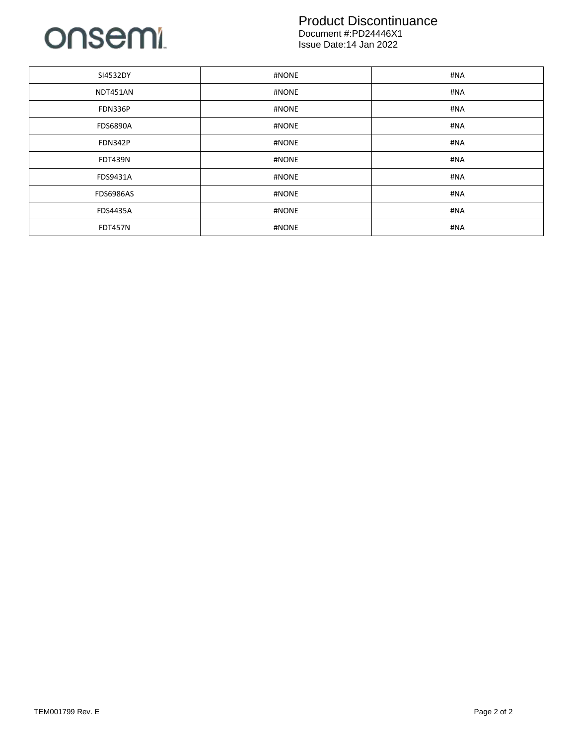

## Product Discontinuance

Document #:PD24446X1 Issue Date:14 Jan 2022

| SI4532DY         | #NONE | #NA |
|------------------|-------|-----|
| NDT451AN         | #NONE | #NA |
| <b>FDN336P</b>   | #NONE | #NA |
| <b>FDS6890A</b>  | #NONE | #NA |
| <b>FDN342P</b>   | #NONE | #NA |
| <b>FDT439N</b>   | #NONE | #NA |
| FDS9431A         | #NONE | #NA |
| <b>FDS6986AS</b> | #NONE | #NA |
| <b>FDS4435A</b>  | #NONE | #NA |
| <b>FDT457N</b>   | #NONE | #NA |